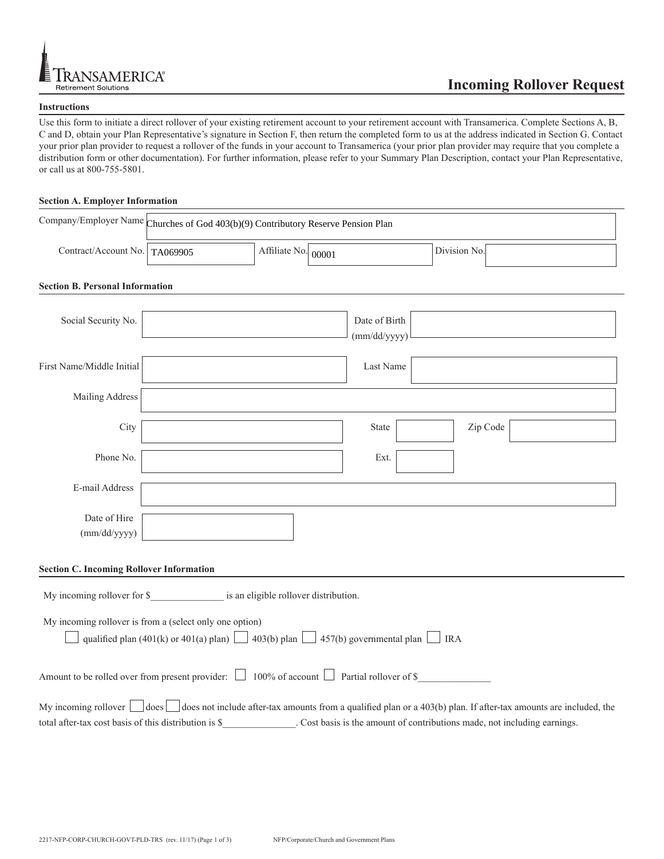

## **Instructions**

Use this form to initiate a direct rollover of your existing retirement account to your retirement account with Transamerica. Complete Sections A, B, C and D, obtain your Plan Representative's signature in Section F, then return the completed form to us at the address indicated in Section G. Contact your prior plan provider to request a rollover of the funds in your account to Transamerica (your prior plan provider may require that you complete a distribution form or other documentation). For further information, please refer to your Summary Plan Description, contact your Plan Representative, or call us at 800-755-5801.

## **Section A. Employer Information**

|                                 | Company/Employer Name Churches of God 403(b)(9) Contributory Reserve Pension Plan |                             |  |              |  |
|---------------------------------|-----------------------------------------------------------------------------------|-----------------------------|--|--------------|--|
| Contract/Account No.   TA069905 |                                                                                   | Affiliate No. $\vert$ 00001 |  | Division No. |  |

## **Section B. Personal Information**

| Social Security No.                                                                                                                                             |  | Date of Birth<br>(mm/dd/yyyy) |          |  |  |
|-----------------------------------------------------------------------------------------------------------------------------------------------------------------|--|-------------------------------|----------|--|--|
| First Name/Middle Initial                                                                                                                                       |  | Last Name                     |          |  |  |
| Mailing Address                                                                                                                                                 |  |                               |          |  |  |
| City                                                                                                                                                            |  | <b>State</b>                  | Zip Code |  |  |
| Phone No.                                                                                                                                                       |  | Ext.                          |          |  |  |
| E-mail Address                                                                                                                                                  |  |                               |          |  |  |
| Date of Hire<br>(mm/dd/yyyy)                                                                                                                                    |  |                               |          |  |  |
| <b>Section C. Incoming Rollover Information</b>                                                                                                                 |  |                               |          |  |  |
| My incoming rollover for \$_____________________ is an eligible rollover distribution.                                                                          |  |                               |          |  |  |
| My incoming rollover is from a (select only one option)<br>qualified plan (401(k) or 401(a) plan) $\Box$ 403(b) plan $\Box$ 457(b) governmental plan $\Box$ IRA |  |                               |          |  |  |
| Amount to be rolled over from present provider: $\Box$ 100% of account $\Box$ Partial rollover of \$                                                            |  |                               |          |  |  |
| My incoming rollover $\Box$ does $\Box$ does not include after-tax amounts from a qualified plan or a 403(b) plan. If after-tax amounts are included, the       |  |                               |          |  |  |
| . Cost basis is the amount of contributions made, not including earnings.<br>total after-tax cost basis of this distribution is \$                              |  |                               |          |  |  |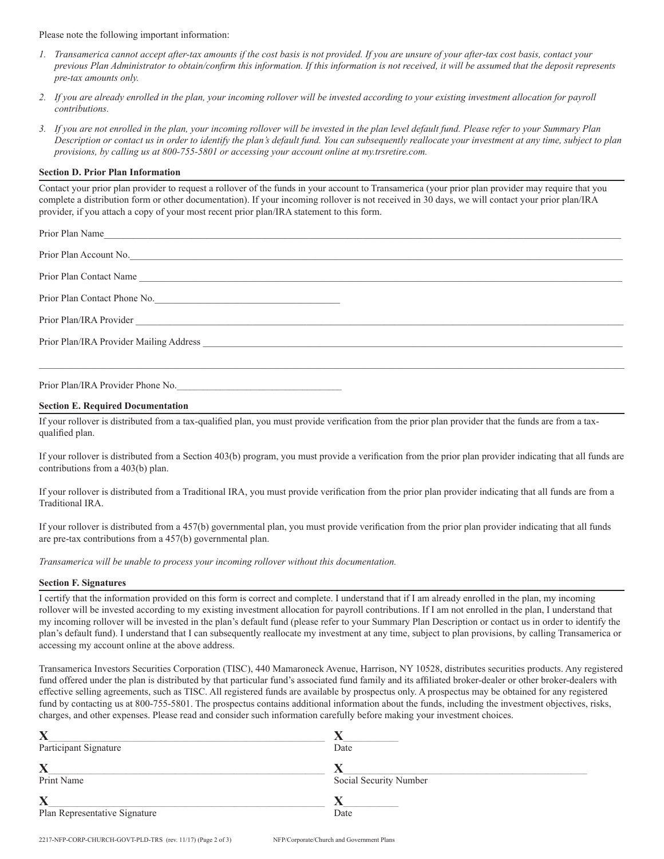Please note the following important information:

- *1. Transamerica cannot accept after-tax amounts if the cost basis is not provided. If you are unsure of your after-tax cost basis, contact your previous Plan Administrator to obtain/confirm this information. If this information is not received, it will be assumed that the deposit represents pre-tax amounts only.*
- *2. If you are already enrolled in the plan, your incoming rollover will be invested according to your existing investment allocation for payroll contributions.*
- *3. If you are not enrolled in the plan, your incoming rollover will be invested in the plan level default fund. Please refer to your Summary Plan Description or contact us in order to identify the plan's default fund. You can subsequently reallocate your investment at any time, subject to plan provisions, by calling us at 800-755-5801 or accessing your account online at my.trsretire.com.*

## **Section D. Prior Plan Information**

Contact your prior plan provider to request a rollover of the funds in your account to Transamerica (your prior plan provider may require that you complete a distribution form or other documentation). If your incoming rollover is not received in 30 days, we will contact your prior plan/IRA provider, if you attach a copy of your most recent prior plan/IRA statement to this form.

Prior Plan/IRA Provider Phone No.

#### **Section E. Required Documentation**

If your rollover is distributed from a tax-qualified plan, you must provide verification from the prior plan provider that the funds are from a taxqualified plan.

If your rollover is distributed from a Section 403(b) program, you must provide a verification from the prior plan provider indicating that all funds are contributions from a 403(b) plan.

If your rollover is distributed from a Traditional IRA, you must provide verification from the prior plan provider indicating that all funds are from a Traditional IRA.

If your rollover is distributed from a 457(b) governmental plan, you must provide verification from the prior plan provider indicating that all funds are pre-tax contributions from a 457(b) governmental plan.

*Transamerica will be unable to process your incoming rollover without this documentation.*

#### **Section F. Signatures**

I certify that the information provided on this form is correct and complete. I understand that if I am already enrolled in the plan, my incoming rollover will be invested according to my existing investment allocation for payroll contributions. If I am not enrolled in the plan, I understand that my incoming rollover will be invested in the plan's default fund (please refer to your Summary Plan Description or contact us in order to identify the plan's default fund). I understand that I can subsequently reallocate my investment at any time, subject to plan provisions, by calling Transamerica or accessing my account online at the above address.

Transamerica Investors Securities Corporation (TISC), 440 Mamaroneck Avenue, Harrison, NY 10528, distributes securities products. Any registered fund offered under the plan is distributed by that particular fund's associated fund family and its affiliated broker-dealer or other broker-dealers with effective selling agreements, such as TISC. All registered funds are available by prospectus only. A prospectus may be obtained for any registered fund by contacting us at 800-755-5801. The prospectus contains additional information about the funds, including the investment objectives, risks, charges, and other expenses. Please read and consider such information carefully before making your investment choices.

| $\overline{\mathbf{X}}$       |                        |
|-------------------------------|------------------------|
| Participant Signature         | Date                   |
| $\overline{\textbf{X}}$       |                        |
| Print Name                    | Social Security Number |
| $\overline{\mathbf{X}}$       |                        |
| Plan Representative Signature | Date                   |